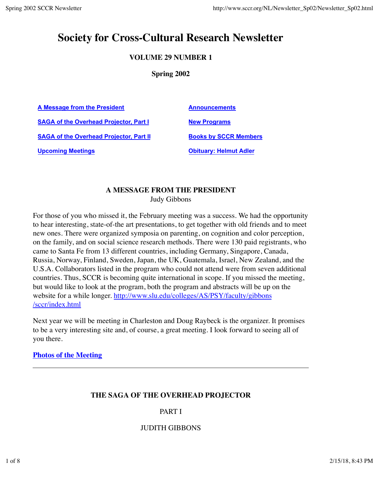# **Society for Cross-Cultural Research Newsletter**

# **VOLUME 29 NUMBER 1**

#### **Spring 2002**

A Message from the President **Announcements SAGA of the Overhead Projector, Part I Mew Programs SAGA of the Overhead Projector, Part II Books by SCCR Members** 

**Upcoming Meetings CODING ADDETER MEETING CODING THE OBJECT OF A LIGARITY: Helmut Adler** 

# **A MESSAGE FROM THE PRESIDENT**

Judy Gibbons

For those of you who missed it, the February meeting was a success. We had the opportunity to hear interesting, state-of-the art presentations, to get together with old friends and to meet new ones. There were organized symposia on parenting, on cognition and color perception, on the family, and on social science research methods. There were 130 paid registrants, who came to Santa Fe from 13 different countries, including Germany, Singapore, Canada, Russia, Norway, Finland, Sweden, Japan, the UK, Guatemala, Israel, New Zealand, and the U.S.A. Collaborators listed in the program who could not attend were from seven additional countries. Thus, SCCR is becoming quite international in scope. If you missed the meeting, but would like to look at the program, both the program and abstracts will be up on the website for a while longer. http://www.slu.edu/colleges/AS/PSY/faculty/gibbons /sccr/index.html

Next year we will be meeting in Charleston and Doug Raybeck is the organizer. It promises to be a very interesting site and, of course, a great meeting. I look forward to seeing all of you there.

#### **Photos of the Meeting**

# **THE SAGA OF THE OVERHEAD PROJECTOR**

#### PART I

#### JUDITH GIBBONS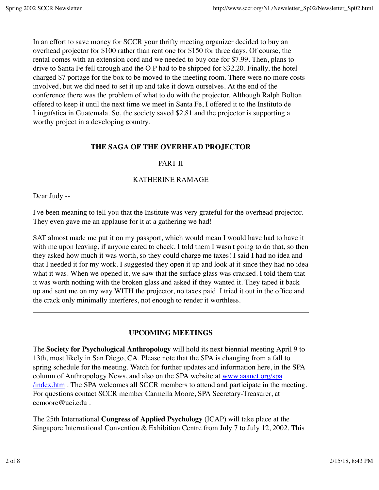In an effort to save money for SCCR your thrifty meeting organizer decided to buy an overhead projector for \$100 rather than rent one for \$150 for three days. Of course, the rental comes with an extension cord and we needed to buy one for \$7.99. Then, plans to drive to Santa Fe fell through and the O.P had to be shipped for \$32.20. Finally, the hotel charged \$7 portage for the box to be moved to the meeting room. There were no more costs involved, but we did need to set it up and take it down ourselves. At the end of the conference there was the problem of what to do with the projector. Although Ralph Bolton offered to keep it until the next time we meet in Santa Fe, I offered it to the Instituto de Lingüística in Guatemala. So, the society saved \$2.81 and the projector is supporting a worthy project in a developing country.

#### **THE SAGA OF THE OVERHEAD PROJECTOR**

#### PART II

#### KATHERINE RAMAGE

Dear Judy --

I've been meaning to tell you that the Institute was very grateful for the overhead projector. They even gave me an applause for it at a gathering we had!

SAT almost made me put it on my passport, which would mean I would have had to have it with me upon leaving, if anyone cared to check. I told them I wasn't going to do that, so then they asked how much it was worth, so they could charge me taxes! I said I had no idea and that I needed it for my work. I suggested they open it up and look at it since they had no idea what it was. When we opened it, we saw that the surface glass was cracked. I told them that it was worth nothing with the broken glass and asked if they wanted it. They taped it back up and sent me on my way WITH the projector, no taxes paid. I tried it out in the office and the crack only minimally interferes, not enough to render it worthless.

#### **UPCOMING MEETINGS**

The **Society for Psychological Anthropology** will hold its next biennial meeting April 9 to 13th, most likely in San Diego, CA. Please note that the SPA is changing from a fall to spring schedule for the meeting. Watch for further updates and information here, in the SPA column of Anthropology News, and also on the SPA website at www.aaanet.org/spa /index.htm . The SPA welcomes all SCCR members to attend and participate in the meeting. For questions contact SCCR member Carmella Moore, SPA Secretary-Treasurer, at ccmoore@uci.edu .

The 25th International **Congress of Applied Psychology** (ICAP) will take place at the Singapore International Convention & Exhibition Centre from July 7 to July 12, 2002. This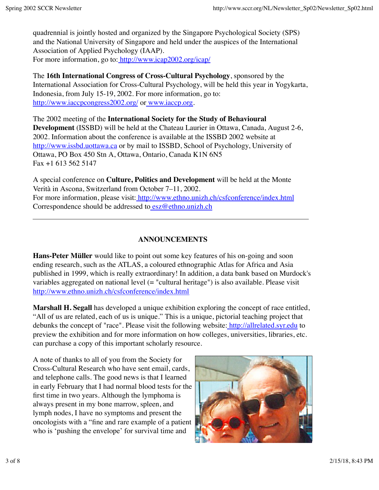quadrennial is jointly hosted and organized by the Singapore Psychological Society (SPS) and the National University of Singapore and held under the auspices of the International Association of Applied Psychology (IAAP). For more information, go to: http://www.icap2002.org/icap/

The **16th International Congress of Cross-Cultural Psychology**, sponsored by the International Association for Cross-Cultural Psychology, will be held this year in Yogykarta, Indonesia, from July 15-19, 2002. For more information, go to: http://www.iaccpcongress2002.org/ or www.iaccp.org.

The 2002 meeting of the **International Society for the Study of Behavioural Development** (ISSBD) will be held at the Chateau Laurier in Ottawa, Canada, August 2-6, 2002. Information about the conference is available at the ISSBD 2002 website at http://www.issbd.uottawa.ca or by mail to ISSBD, School of Psychology, University of Ottawa, PO Box 450 Stn A, Ottawa, Ontario, Canada K1N 6N5 Fax +1 613 562 5147

A special conference on **Culture, Politics and Development** will be held at the Monte Verità in Ascona, Switzerland from October 7–11, 2002. For more information, please visit: http://www.ethno.unizh.ch/csfconference/index.html Correspondence should be addressed to esz@ethno.unizh.ch

# **ANNOUNCEMENTS**

**Hans-Peter Müller** would like to point out some key features of his on-going and soon ending research, such as the ATLAS, a coloured ethnographic Atlas for Africa and Asia published in 1999, which is really extraordinary! In addition, a data bank based on Murdock's variables aggregated on national level (= "cultural heritage") is also available. Please visit http://www.ethno.unizh.ch/csfconference/index.html

**Marshall H. Segall** has developed a unique exhibition exploring the concept of race entitled, "All of us are related, each of us is unique." This is a unique, pictorial teaching project that debunks the concept of "race". Please visit the following website: http://allrelated.syr.edu to preview the exhibition and for more information on how colleges, universities, libraries, etc. can purchase a copy of this important scholarly resource.

A note of thanks to all of you from the Society for Cross-Cultural Research who have sent email, cards, and telephone calls. The good news is that I learned in early February that I had normal blood tests for the first time in two years. Although the lymphoma is always present in my bone marrow, spleen, and lymph nodes, I have no symptoms and present the oncologists with a "fine and rare example of a patient who is 'pushing the envelope' for survival time and

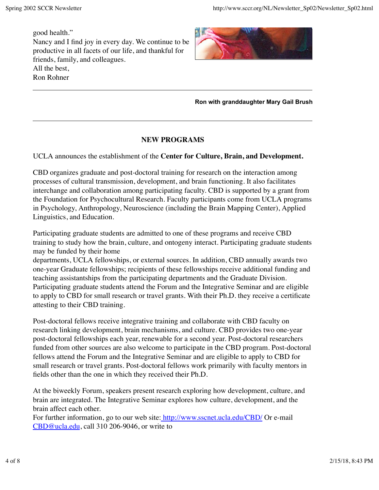good health." Nancy and I find joy in every day. We continue to be productive in all facets of our life, and thankful for friends, family, and colleagues. All the best, Ron Rohner



**Ron with granddaughter Mary Gail Brush**

## **NEW PROGRAMS**

UCLA announces the establishment of the **Center for Culture, Brain, and Development.**

CBD organizes graduate and post-doctoral training for research on the interaction among processes of cultural transmission, development, and brain functioning. It also facilitates interchange and collaboration among participating faculty. CBD is supported by a grant from the Foundation for Psychocultural Research. Faculty participants come from UCLA programs in Psychology, Anthropology, Neuroscience (including the Brain Mapping Center), Applied Linguistics, and Education.

Participating graduate students are admitted to one of these programs and receive CBD training to study how the brain, culture, and ontogeny interact. Participating graduate students may be funded by their home

departments, UCLA fellowships, or external sources. In addition, CBD annually awards two one-year Graduate fellowships; recipients of these fellowships receive additional funding and teaching assistantships from the participating departments and the Graduate Division. Participating graduate students attend the Forum and the Integrative Seminar and are eligible to apply to CBD for small research or travel grants. With their Ph.D. they receive a certificate attesting to their CBD training.

Post-doctoral fellows receive integrative training and collaborate with CBD faculty on research linking development, brain mechanisms, and culture. CBD provides two one-year post-doctoral fellowships each year, renewable for a second year. Post-doctoral researchers funded from other sources are also welcome to participate in the CBD program. Post-doctoral fellows attend the Forum and the Integrative Seminar and are eligible to apply to CBD for small research or travel grants. Post-doctoral fellows work primarily with faculty mentors in fields other than the one in which they received their Ph.D.

At the biweekly Forum, speakers present research exploring how development, culture, and brain are integrated. The Integrative Seminar explores how culture, development, and the brain affect each other.

For further information, go to our web site: http://www.sscnet.ucla.edu/CBD/ Or e-mail CBD@ucla.edu, call 310 206-9046, or write to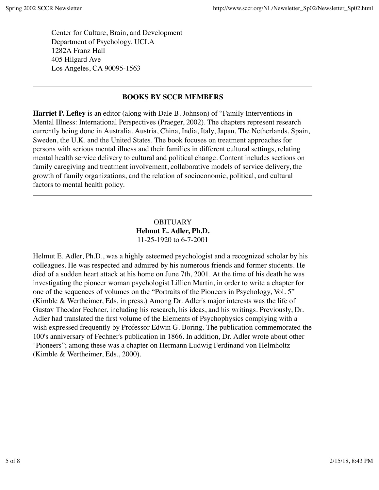Center for Culture, Brain, and Development Department of Psychology, UCLA 1282A Franz Hall 405 Hilgard Ave Los Angeles, CA 90095-1563

## **BOOKS BY SCCR MEMBERS**

**Harriet P. Lefley** is an editor (along with Dale B. Johnson) of "Family Interventions in Mental Illness: International Perspectives (Praeger, 2002). The chapters represent research currently being done in Australia. Austria, China, India, Italy, Japan, The Netherlands, Spain, Sweden, the U.K. and the United States. The book focuses on treatment approaches for persons with serious mental illness and their families in different cultural settings, relating mental health service delivery to cultural and political change. Content includes sections on family caregiving and treatment involvement, collaborative models of service delivery, the growth of family organizations, and the relation of socioeonomic, political, and cultural factors to mental health policy.

> **OBITUARY Helmut E. Adler, Ph.D.** 11-25-1920 to 6-7-2001

Helmut E. Adler, Ph.D., was a highly esteemed psychologist and a recognized scholar by his colleagues. He was respected and admired by his numerous friends and former students. He died of a sudden heart attack at his home on June 7th, 2001. At the time of his death he was investigating the pioneer woman psychologist Lillien Martin, in order to write a chapter for one of the sequences of volumes on the "Portraits of the Pioneers in Psychology, Vol. 5" (Kimble & Wertheimer, Eds, in press.) Among Dr. Adler's major interests was the life of Gustav Theodor Fechner, including his research, his ideas, and his writings. Previously, Dr. Adler had translated the first volume of the Elements of Psychophysics complying with a wish expressed frequently by Professor Edwin G. Boring. The publication commemorated the 100's anniversary of Fechner's publication in 1866. In addition, Dr. Adler wrote about other "Pioneers"; among these was a chapter on Hermann Ludwig Ferdinand von Helmholtz (Kimble & Wertheimer, Eds., 2000).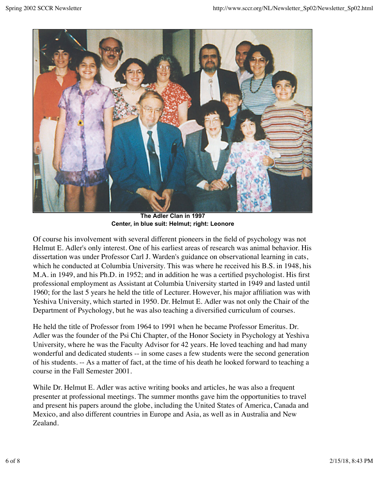

**The Adler Clan in 1997 Center, in blue suit: Helmut; right: Leonore**

Of course his involvement with several different pioneers in the field of psychology was not Helmut E. Adler's only interest. One of his earliest areas of research was animal behavior. His dissertation was under Professor Carl J. Warden's guidance on observational learning in cats, which he conducted at Columbia University. This was where he received his B.S. in 1948, his M.A. in 1949, and his Ph.D. in 1952; and in addition he was a certified psychologist. His first professional employment as Assistant at Columbia University started in 1949 and lasted until 1960; for the last 5 years he held the title of Lecturer. However, his major affiliation was with Yeshiva University, which started in 1950. Dr. Helmut E. Adler was not only the Chair of the Department of Psychology, but he was also teaching a diversified curriculum of courses.

He held the title of Professor from 1964 to 1991 when he became Professor Emeritus. Dr. Adler was the founder of the Psi Chi Chapter, of the Honor Society in Psychology at Yeshiva University, where he was the Faculty Advisor for 42 years. He loved teaching and had many wonderful and dedicated students -- in some cases a few students were the second generation of his students. -- As a matter of fact, at the time of his death he looked forward to teaching a course in the Fall Semester 2001.

While Dr. Helmut E. Adler was active writing books and articles, he was also a frequent presenter at professional meetings. The summer months gave him the opportunities to travel and present his papers around the globe, including the United States of America, Canada and Mexico, and also different countries in Europe and Asia, as well as in Australia and New Zealand.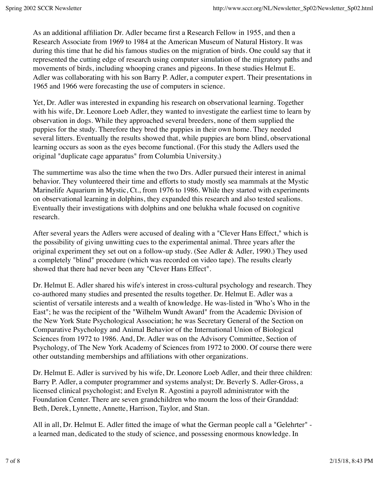As an additional affiliation Dr. Adler became first a Research Fellow in 1955, and then a Research Associate from 1969 to 1984 at the American Museum of Natural History. It was during this time that he did his famous studies on the migration of birds. One could say that it represented the cutting edge of research using computer simulation of the migratory paths and movements of birds, including whooping cranes and pigeons. In these studies Helmut E. Adler was collaborating with his son Barry P. Adler, a computer expert. Their presentations in 1965 and 1966 were forecasting the use of computers in science.

Yet, Dr. Adler was interested in expanding his research on observational learning. Together with his wife, Dr. Leonore Loeb Adler, they wanted to investigate the earliest time to learn by observation in dogs. While they approached several breeders, none of them supplied the puppies for the study. Therefore they bred the puppies in their own home. They needed several litters. Eventually the results showed that, while puppies are born blind, observational learning occurs as soon as the eyes become functional. (For this study the Adlers used the original "duplicate cage apparatus" from Columbia University.)

The summertime was also the time when the two Drs. Adler pursued their interest in animal behavior. They volunteered their time and efforts to study mostly sea mammals at the Mystic Marinelife Aquarium in Mystic, Ct., from 1976 to 1986. While they started with experiments on observational learning in dolphins, they expanded this research and also tested sealions. Eventually their investigations with dolphins and one belukha whale focused on cognitive research.

After several years the Adlers were accused of dealing with a "Clever Hans Effect," which is the possibility of giving unwitting cues to the experimental animal. Three years after the original experiment they set out on a follow-up study. (See Adler & Adler, 1990.) They used a completely "blind" procedure (which was recorded on video tape). The results clearly showed that there had never been any "Clever Hans Effect".

Dr. Helmut E. Adler shared his wife's interest in cross-cultural psychology and research. They co-authored many studies and presented the results together. Dr. Helmut E. Adler was a scientist of versatile interests and a wealth of knowledge. He was-listed in 'Who's Who in the East"; he was the recipient of the "Wilhelm Wundt Award" from the Academic Division of the New York State Psychological Association; he was Secretary General of the Section on Comparative Psychology and Animal Behavior of the International Union of Biological Sciences from 1972 to 1986. And, Dr. Adler was on the Advisory Committee, Section of Psychology, of The New York Academy of Sciences from 1972 to 2000. Of course there were other outstanding memberships and affiliations with other organizations.

Dr. Helmut E. Adler is survived by his wife, Dr. Leonore Loeb Adler, and their three children: Barry P. Adler, a computer programmer and systems analyst; Dr. Beverly S. Adler-Gross, a licensed clinical psychologist; and Evelyn R. Agostini a payroll administrator with the Foundation Center. There are seven grandchildren who mourn the loss of their Granddad: Beth, Derek, Lynnette, Annette, Harrison, Taylor, and Stan.

All in all, Dr. Helmut E. Adler fitted the image of what the German people call a "Gelehrter" a learned man, dedicated to the study of science, and possessing enormous knowledge. In